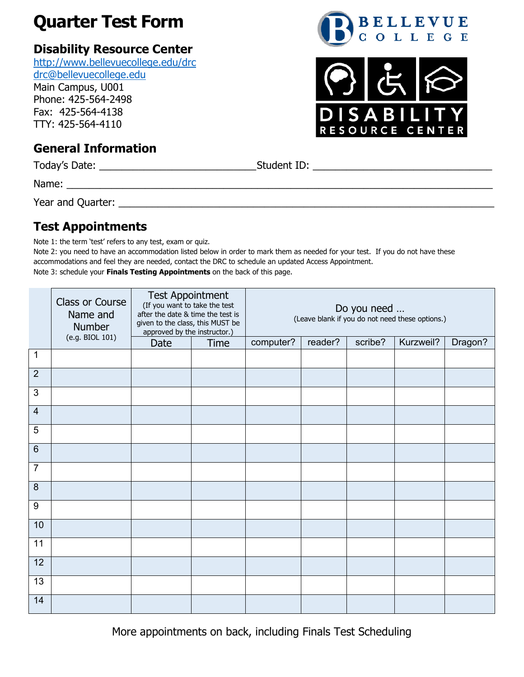## **Quarter Test Form**

## **Disability Resource Center**

<http://www.bellevuecollege.edu/drc> [drc@bellevuecollege.edu](mailto:drc@bellevuecollege.edu)

Main Campus, U001 Phone: 425-564-2498

Fax: 425-564-4138 TTY: 425-564-4110

## **General Information**

Today's Date: \_\_\_\_\_\_\_\_\_\_\_\_\_\_\_\_\_\_\_\_\_\_\_\_\_\_\_\_Student ID: \_\_\_\_\_\_\_\_\_\_\_\_\_\_\_\_\_\_\_\_\_\_\_\_\_\_\_\_\_\_\_\_

Name: \_\_\_\_\_\_\_\_\_\_\_\_\_\_\_\_\_\_\_\_\_\_\_\_\_\_\_\_\_\_\_\_\_\_\_\_\_\_\_\_\_\_\_\_\_\_\_\_\_\_\_\_\_\_\_\_\_\_\_\_\_\_\_\_\_\_\_\_\_\_\_\_\_\_\_\_

Year and Quarter: \_\_\_\_\_\_\_\_\_\_\_\_\_\_\_\_\_\_\_\_\_\_\_\_\_\_\_\_\_\_\_\_\_\_\_\_\_\_\_\_\_\_\_\_\_\_\_\_\_\_\_\_\_\_\_\_\_\_\_\_\_\_\_\_\_\_\_

## **Test Appointments**

Note 1: the term 'test' refers to any test, exam or quiz.

Note 2: you need to have an accommodation listed below in order to mark them as needed for your test. If you do not have these accommodations and feel they are needed, contact the DRC to schedule an updated Access Appointment. Note 3: schedule your **Finals Testing Appointments** on the back of this page.

|                | Class or Course<br>Name and<br>Number<br>(e.g. BIOL 101) | <b>Test Appointment</b><br>(If you want to take the test<br>after the date & time the test is<br>given to the class, this MUST be<br>approved by the instructor.) |             | Do you need<br>(Leave blank if you do not need these options.) |         |         |           |         |
|----------------|----------------------------------------------------------|-------------------------------------------------------------------------------------------------------------------------------------------------------------------|-------------|----------------------------------------------------------------|---------|---------|-----------|---------|
|                |                                                          | Date                                                                                                                                                              | <b>Time</b> | computer?                                                      | reader? | scribe? | Kurzweil? | Dragon? |
| 1              |                                                          |                                                                                                                                                                   |             |                                                                |         |         |           |         |
| 2              |                                                          |                                                                                                                                                                   |             |                                                                |         |         |           |         |
| 3              |                                                          |                                                                                                                                                                   |             |                                                                |         |         |           |         |
| $\overline{4}$ |                                                          |                                                                                                                                                                   |             |                                                                |         |         |           |         |
| 5              |                                                          |                                                                                                                                                                   |             |                                                                |         |         |           |         |
| $6\phantom{1}$ |                                                          |                                                                                                                                                                   |             |                                                                |         |         |           |         |
| $\overline{7}$ |                                                          |                                                                                                                                                                   |             |                                                                |         |         |           |         |
| $\bf 8$        |                                                          |                                                                                                                                                                   |             |                                                                |         |         |           |         |
| $9\,$          |                                                          |                                                                                                                                                                   |             |                                                                |         |         |           |         |
| 10             |                                                          |                                                                                                                                                                   |             |                                                                |         |         |           |         |
| 11             |                                                          |                                                                                                                                                                   |             |                                                                |         |         |           |         |
| 12             |                                                          |                                                                                                                                                                   |             |                                                                |         |         |           |         |
| 13             |                                                          |                                                                                                                                                                   |             |                                                                |         |         |           |         |
| 14             |                                                          |                                                                                                                                                                   |             |                                                                |         |         |           |         |

BELLEVUE<br>COLLEGE



More appointments on back, including Finals Test Scheduling